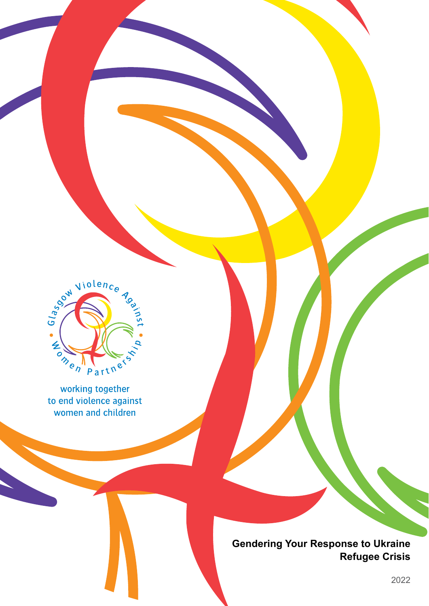

working together to end violence against women and children

> **Gendering Your Response to Ukraine Refugee Crisis**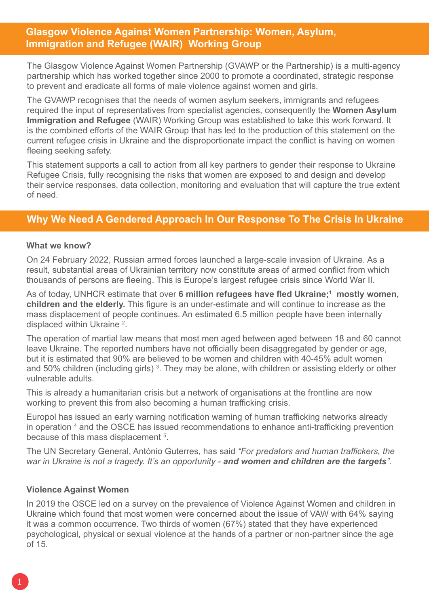# <span id="page-1-0"></span>**Glasgow Violence Against Women Partnership: Women, Asylum, Immigration and Refugee (WAIR) Working Group**

The Glasgow Violence Against Women Partnership (GVAWP or the Partnership) is a multi-agency partnership which has worked together since 2000 to promote a coordinated, strategic response to prevent and eradicate all forms of male violence against women and girls.

The GVAWP recognises that the needs of women asylum seekers, immigrants and refugees required the input of representatives from specialist agencies, consequently the **Women Asylum Immigration and Refugee** (WAIR) Working Group was established to take this work forward. It is the combined efforts of the WAIR Group that has led to the production of this statement on the current refugee crisis in Ukraine and the disproportionate impact the conflict is having on women fleeing seeking safety.

This statement supports a call to action from all key partners to gender their response to Ukraine Refugee Crisis, fully recognising the risks that women are exposed to and design and develop their service responses, data collection, monitoring and evaluation that will capture the true extent of need.

# **Why We Need A Gendered Approach In Our Response To The Crisis In Ukraine**

# **What we know?**

On 24 February 2022, Russian armed forces launched a large-scale invasion of Ukraine. As a result, substantial areas of Ukrainian territory now constitute areas of armed conflict from which thousands of persons are fleeing. This is Europe's largest refugee crisis since World War II.

As of today, UNHCR estimate that over **6 million refugees have fled Ukraine;[1](#page-7-0) mostly women, children and the elderly.** This figure is an under-estimate and will continue to increase as the mass displacement of people continues. An estimated 6.5 million people have been internally displaced within Ukraine<sup>2</sup>.

The operation of martial law means that most men aged between aged between 18 and 60 cannot leave Ukraine. The reported numbers have not officially been disaggregated by gender or age, but it is estimated that 90% are believed to be women and children with 40-45% adult women and 50% children (including girls)<sup>[3](#page-7-0)</sup>. They may be alone, with children or assisting elderly or other vulnerable adults.

This is already a humanitarian crisis but a network of organisations at the frontline are now working to prevent this from also becoming a human trafficking crisis.

Europol has issued an early warning notification warning of human trafficking networks already in operation  $4$  and the OSCE has issued recommendations to enhance anti-trafficking prevention because of this mass displacement <sup>[5](#page-7-0)</sup>.

The UN Secretary General, António Guterres, has said *"For predators and human traffickers, the war in Ukraine is not a tragedy. It's an opportunity - and women and children are the targets".*

# **Violence Against Women**

In 2019 the OSCE led on a survey on the prevalence of Violence Against Women and children in Ukraine which found that most women were concerned about the issue of VAW with 64% saying it was a common occurrence. Two thirds of women (67%) stated that they have experienced psychological, physical or sexual violence at the hands of a partner or non-partner since the age of 15.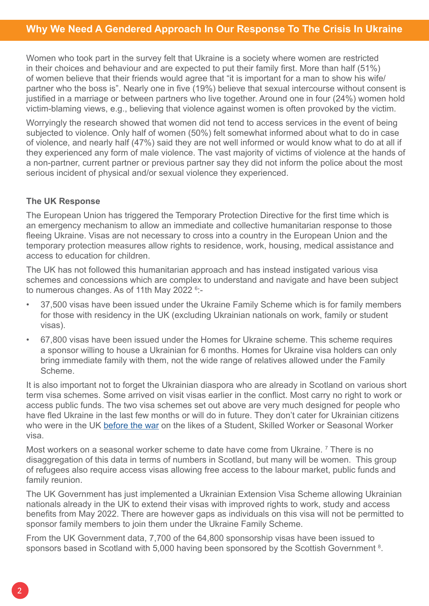<span id="page-2-0"></span>Women who took part in the survey felt that Ukraine is a society where women are restricted in their choices and behaviour and are expected to put their family first. More than half (51%) of women believe that their friends would agree that "it is important for a man to show his wife/ partner who the boss is". Nearly one in five (19%) believe that sexual intercourse without consent is justified in a marriage or between partners who live together. Around one in four (24%) women hold victim-blaming views, e.g., believing that violence against women is often provoked by the victim.

Worryingly the research showed that women did not tend to access services in the event of being subjected to violence. Only half of women (50%) felt somewhat informed about what to do in case of violence, and nearly half (47%) said they are not well informed or would know what to do at all if they experienced any form of male violence. The vast majority of victims of violence at the hands of a non-partner, current partner or previous partner say they did not inform the police about the most serious incident of physical and/or sexual violence they experienced.

# **The UK Response**

The European Union has triggered the Temporary Protection Directive for the first time which is an emergency mechanism to allow an immediate and collective humanitarian response to those fleeing Ukraine. Visas are not necessary to cross into a country in the European Union and the temporary protection measures allow rights to residence, work, housing, medical assistance and access to education for children.

The UK has not followed this humanitarian approach and has instead instigated various visa schemes and concessions which are complex to understand and navigate and have been subject to numerous changes. As of 11th May 2022 <sup>[6](#page-7-0)</sup>:-

- 37,500 visas have been issued under the Ukraine Family Scheme which is for family members for those with residency in the UK (excluding Ukrainian nationals on work, family or student visas).
- 67,800 visas have been issued under the Homes for Ukraine scheme. This scheme requires a sponsor willing to house a Ukrainian for 6 months. Homes for Ukraine visa holders can only bring immediate family with them, not the wide range of relatives allowed under the Family Scheme.

It is also important not to forget the Ukrainian diaspora who are already in Scotland on various short term visa schemes. Some arrived on visit visas earlier in the conflict. Most carry no right to work or access public funds. The two visa schemes set out above are very much designed for people who have fled Ukraine in the last few months or will do in future. They don't cater for Ukrainian citizens who were in the UK before the war on the likes of a Student, Skilled Worker or Seasonal Worker visa.

Most workers on a seasonal worker scheme to date have come from Ukraine. [7](#page-7-0) There is no disaggregation of this data in terms of numbers in Scotland, but many will be women. This group of refugees also require access visas allowing free access to the labour market, public funds and family reunion.

The UK Government has just implemented a Ukrainian Extension Visa Scheme allowing Ukrainian nationals already in the UK to extend their visas with improved rights to work, study and access benefits from May 2022. There are however gaps as individuals on this visa will not be permitted to sponsor family members to join them under the Ukraine Family Scheme.

From the UK Government data, 7,700 of the 64,800 sponsorship visas have been issued to sponsors based in Scotland with 5,000 having been sponsored by the Scottish Government <sup>[8](#page-7-0)</sup>.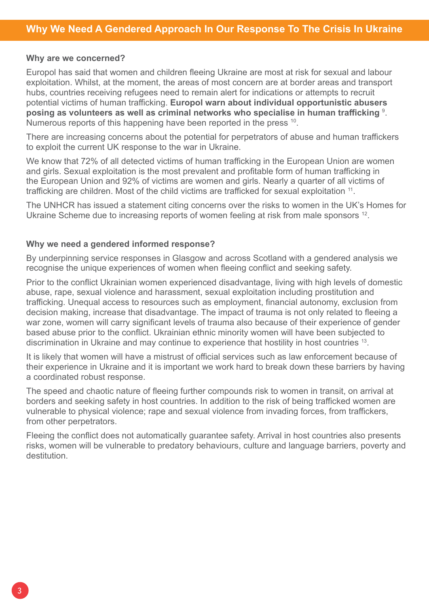#### <span id="page-3-0"></span>**Why are we concerned?**

Europol has said that women and children fleeing Ukraine are most at risk for sexual and labour exploitation. Whilst, at the moment, the areas of most concern are at border areas and transport hubs, countries receiving refugees need to remain alert for indications or attempts to recruit potential victims of human trafficking. **Europol warn about individual opportunistic abusers posing as volunteers as well as criminal networks who specialise in human trafficking** [9](#page-7-0) . Numerous reports of this happening have been reported in the press <sup>10</sup>.

There are increasing concerns about the potential for perpetrators of abuse and human traffickers to exploit the current UK response to the war in Ukraine.

We know that 72% of all detected victims of human trafficking in the European Union are women and girls. Sexual exploitation is the most prevalent and profitable form of human trafficking in the European Union and 92% of victims are women and girls. Nearly a quarter of all victims of trafficking are children. Most of the child victims are trafficked for sexual exploitation <sup>11</sup>.

The UNHCR has issued a statement citing concerns over the risks to women in the UK's Homes for Ukraine Scheme due to increasing reports of women feeling at risk from male sponsors <sup>12</sup>.

#### **Why we need a gendered informed response?**

By underpinning service responses in Glasgow and across Scotland with a gendered analysis we recognise the unique experiences of women when fleeing conflict and seeking safety.

Prior to the conflict Ukrainian women experienced disadvantage, living with high levels of domestic abuse, rape, sexual violence and harassment, sexual exploitation including prostitution and trafficking. Unequal access to resources such as employment, financial autonomy, exclusion from decision making, increase that disadvantage. The impact of trauma is not only related to fleeing a war zone, women will carry significant levels of trauma also because of their experience of gender based abuse prior to the conflict. Ukrainian ethnic minority women will have been subjected to discrimination in Ukraine and may continue to experience that hostility in host countries <sup>13</sup>.

It is likely that women will have a mistrust of official services such as law enforcement because of their experience in Ukraine and it is important we work hard to break down these barriers by having a coordinated robust response.

The speed and chaotic nature of fleeing further compounds risk to women in transit, on arrival at borders and seeking safety in host countries. In addition to the risk of being trafficked women are vulnerable to physical violence; rape and sexual violence from invading forces, from traffickers, from other perpetrators.

Fleeing the conflict does not automatically guarantee safety. Arrival in host countries also presents risks, women will be vulnerable to predatory behaviours, culture and language barriers, poverty and destitution.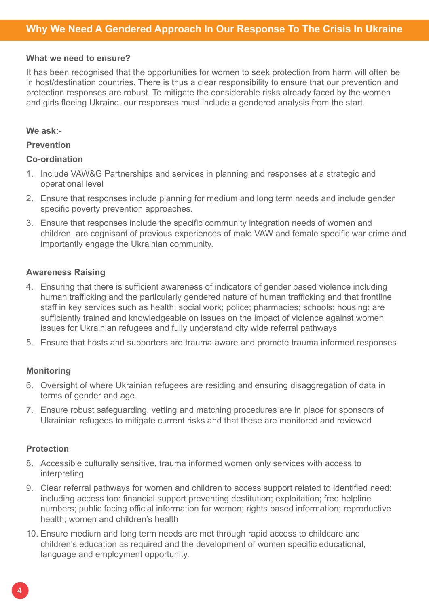### **What we need to ensure?**

It has been recognised that the opportunities for women to seek protection from harm will often be in host/destination countries. There is thus a clear responsibility to ensure that our prevention and protection responses are robust. To mitigate the considerable risks already faced by the women and girls fleeing Ukraine, our responses must include a gendered analysis from the start.

#### **We ask:-**

### **Prevention**

## **Co-ordination**

- 1. Include VAW&G Partnerships and services in planning and responses at a strategic and operational level
- 2. Ensure that responses include planning for medium and long term needs and include gender specific poverty prevention approaches.
- 3. Ensure that responses include the specific community integration needs of women and children, are cognisant of previous experiences of male VAW and female specific war crime and importantly engage the Ukrainian community.

## **Awareness Raising**

- 4. Ensuring that there is sufficient awareness of indicators of gender based violence including human trafficking and the particularly gendered nature of human trafficking and that frontline staff in key services such as health; social work; police; pharmacies; schools; housing; are sufficiently trained and knowledgeable on issues on the impact of violence against women issues for Ukrainian refugees and fully understand city wide referral pathways
- 5. Ensure that hosts and supporters are trauma aware and promote trauma informed responses

# **Monitoring**

- 6. Oversight of where Ukrainian refugees are residing and ensuring disaggregation of data in terms of gender and age.
- 7. Ensure robust safeguarding, vetting and matching procedures are in place for sponsors of Ukrainian refugees to mitigate current risks and that these are monitored and reviewed

#### **Protection**

- 8. Accessible culturally sensitive, trauma informed women only services with access to interpreting
- 9. Clear referral pathways for women and children to access support related to identified need: including access too: financial support preventing destitution; exploitation; free helpline numbers; public facing official information for women; rights based information; reproductive health; women and children's health
- 10. Ensure medium and long term needs are met through rapid access to childcare and children's education as required and the development of women specific educational, language and employment opportunity.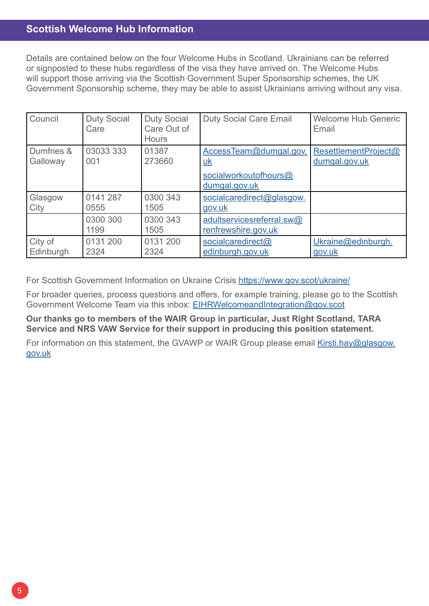# **Scottish Welcome Hub Information**

Details are contained below on the four Welcome Hubs in Scotland. Ukrainians can be referred or signposted to these hubs regardless of the visa they have arrived on. The Welcome Hubs will support those arriving via the Scottish Government Super Sponsorship schemes, the UK Government Sponsorship scheme, they may be able to assist Ukrainians arriving without any visa.

| Council                | <b>Duty Social</b><br>Care | <b>Duty Social</b><br>Care Out of<br><b>Hours</b> | <b>Duty Social Care Email</b>                                                 | <b>Welcome Hub Generic</b><br>Email   |
|------------------------|----------------------------|---------------------------------------------------|-------------------------------------------------------------------------------|---------------------------------------|
| Dumfries &<br>Galloway | 03033 333<br>001           | 01387<br>273660                                   | AccessTeam@dumgal.gov.<br><u>uk</u><br>socialworkoutofhours@<br>dumgal.gov.uk | ResettlementProject@<br>dumgal.gov.uk |
| Glasgow<br>City        | 0141 287<br>0555           | 0300 343<br>1505                                  | socialcaredirect@glasgow.<br>gov.uk                                           |                                       |
|                        | 0300 300<br>1199           | 0300 343<br>1505                                  | adultservicesreferral.sw@<br>renfrewshire.gov.uk                              |                                       |
| City of<br>Edinburgh   | 0131 200<br>2324           | 0131 200<br>2324                                  | socialcaredirect@<br>edinburgh.gov.uk                                         | Ukraine@edinburgh.<br>gov.uk          |

For Scottish Government Information on Ukraine Crisis<https://www.gov.scot/ukraine/>

For broader queries, process questions and offers, for example training, please go to the Scottish Government Welcome Team via this inbox: [EIHRWelcomeandIntegration@gov.scot](mailto:EIHRWelcomeandIntegration@gov.scot)

**Our thanks go to members of the WAIR Group in particular, Just Right Scotland, TARA Service and NRS VAW Service for their support in producing this position statement.** 

For information on this statement, the GVAWP or WAIR Group please email [Kirsti.hay@glasgow.](mailto:Kirsti.hay@glasgow.gov.uk) [gov.uk](mailto:Kirsti.hay@glasgow.gov.uk)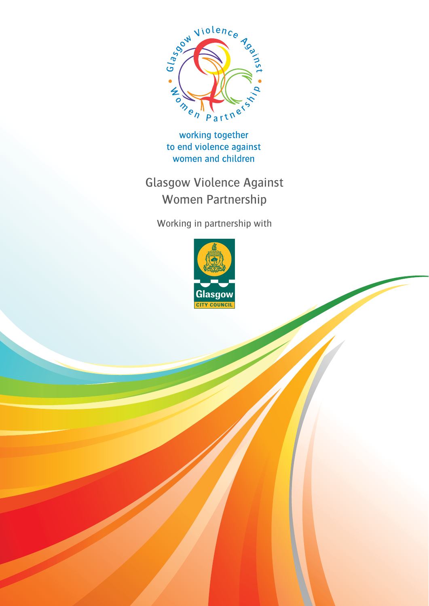

working together to end violence against women and children

Glasgow Violence Against Women Partnership

Working in partnership with